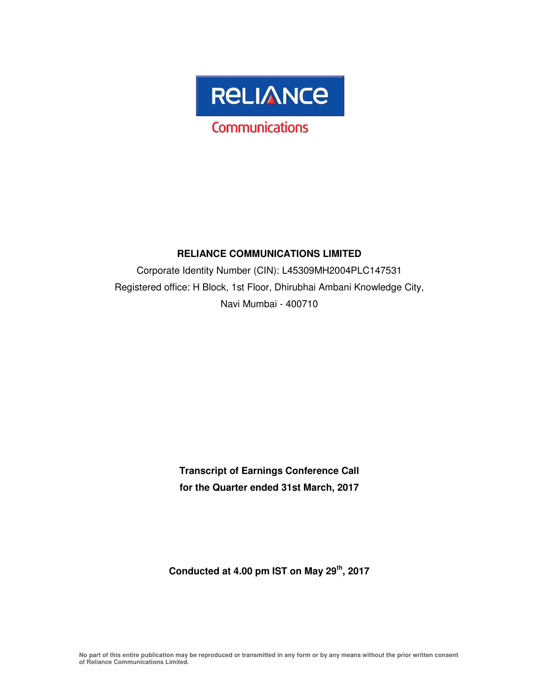

#### **RELIANCE COMMUNICATIONS LIMITED**

Corporate Identity Number (CIN): L45309MH2004PLC147531 Registered office: H Block, 1st Floor, Dhirubhai Ambani Knowledge City, Navi Mumbai - 400710

> **Transcript of Earnings Conference Call for the Quarter ended 31st March, 2017**

**Conducted at 4.00 pm IST on May 29th, 2017**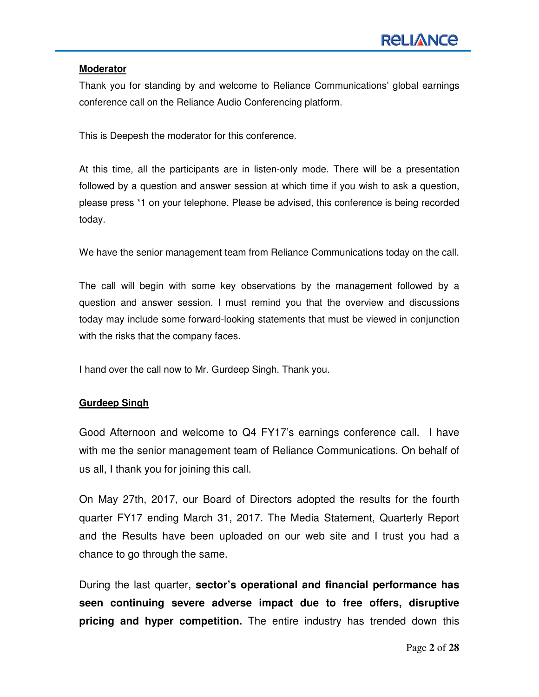#### **Moderator**

Thank you for standing by and welcome to Reliance Communications' global earnings conference call on the Reliance Audio Conferencing platform.

This is Deepesh the moderator for this conference.

At this time, all the participants are in listen-only mode. There will be a presentation followed by a question and answer session at which time if you wish to ask a question, please press \*1 on your telephone. Please be advised, this conference is being recorded today.

We have the senior management team from Reliance Communications today on the call.

The call will begin with some key observations by the management followed by a question and answer session. I must remind you that the overview and discussions today may include some forward-looking statements that must be viewed in conjunction with the risks that the company faces.

I hand over the call now to Mr. Gurdeep Singh. Thank you.

#### **Gurdeep Singh**

Good Afternoon and welcome to Q4 FY17's earnings conference call. I have with me the senior management team of Reliance Communications. On behalf of us all, I thank you for joining this call.

On May 27th, 2017, our Board of Directors adopted the results for the fourth quarter FY17 ending March 31, 2017. The Media Statement, Quarterly Report and the Results have been uploaded on our web site and I trust you had a chance to go through the same.

During the last quarter, **sector's operational and financial performance has seen continuing severe adverse impact due to free offers, disruptive pricing and hyper competition.** The entire industry has trended down this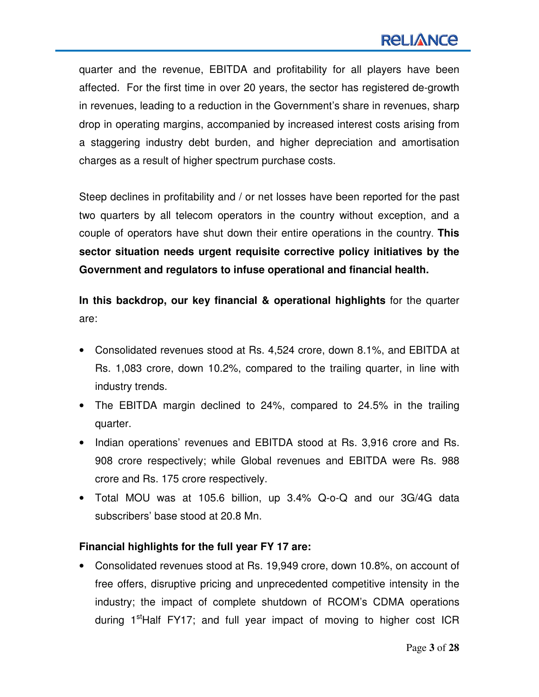## **RELIANCE**

quarter and the revenue, EBITDA and profitability for all players have been affected. For the first time in over 20 years, the sector has registered de-growth in revenues, leading to a reduction in the Government's share in revenues, sharp drop in operating margins, accompanied by increased interest costs arising from a staggering industry debt burden, and higher depreciation and amortisation charges as a result of higher spectrum purchase costs.

Steep declines in profitability and / or net losses have been reported for the past two quarters by all telecom operators in the country without exception, and a couple of operators have shut down their entire operations in the country. **This sector situation needs urgent requisite corrective policy initiatives by the Government and regulators to infuse operational and financial health.** 

**In this backdrop, our key financial & operational highlights** for the quarter are:

- Consolidated revenues stood at Rs. 4,524 crore, down 8.1%, and EBITDA at Rs. 1,083 crore, down 10.2%, compared to the trailing quarter, in line with industry trends.
- The EBITDA margin declined to 24%, compared to 24.5% in the trailing quarter.
- Indian operations' revenues and EBITDA stood at Rs. 3,916 crore and Rs. 908 crore respectively; while Global revenues and EBITDA were Rs. 988 crore and Rs. 175 crore respectively.
- Total MOU was at 105.6 billion, up 3.4% Q-o-Q and our 3G/4G data subscribers' base stood at 20.8 Mn.

## **Financial highlights for the full year FY 17 are:**

• Consolidated revenues stood at Rs. 19,949 crore, down 10.8%, on account of free offers, disruptive pricing and unprecedented competitive intensity in the industry; the impact of complete shutdown of RCOM's CDMA operations during  $1^{\text{st}}$ Half FY17; and full year impact of moving to higher cost ICR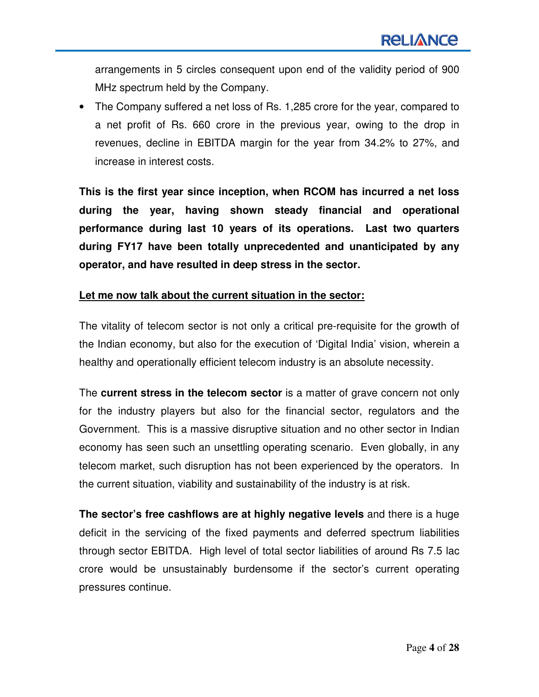arrangements in 5 circles consequent upon end of the validity period of 900 MHz spectrum held by the Company.

• The Company suffered a net loss of Rs. 1,285 crore for the year, compared to a net profit of Rs. 660 crore in the previous year, owing to the drop in revenues, decline in EBITDA margin for the year from 34.2% to 27%, and increase in interest costs.

**This is the first year since inception, when RCOM has incurred a net loss during the year, having shown steady financial and operational performance during last 10 years of its operations. Last two quarters during FY17 have been totally unprecedented and unanticipated by any operator, and have resulted in deep stress in the sector.** 

#### **Let me now talk about the current situation in the sector:**

The vitality of telecom sector is not only a critical pre-requisite for the growth of the Indian economy, but also for the execution of 'Digital India' vision, wherein a healthy and operationally efficient telecom industry is an absolute necessity.

The **current stress in the telecom sector** is a matter of grave concern not only for the industry players but also for the financial sector, regulators and the Government. This is a massive disruptive situation and no other sector in Indian economy has seen such an unsettling operating scenario. Even globally, in any telecom market, such disruption has not been experienced by the operators. In the current situation, viability and sustainability of the industry is at risk.

**The sector's free cashflows are at highly negative levels** and there is a huge deficit in the servicing of the fixed payments and deferred spectrum liabilities through sector EBITDA. High level of total sector liabilities of around Rs 7.5 lac crore would be unsustainably burdensome if the sector's current operating pressures continue.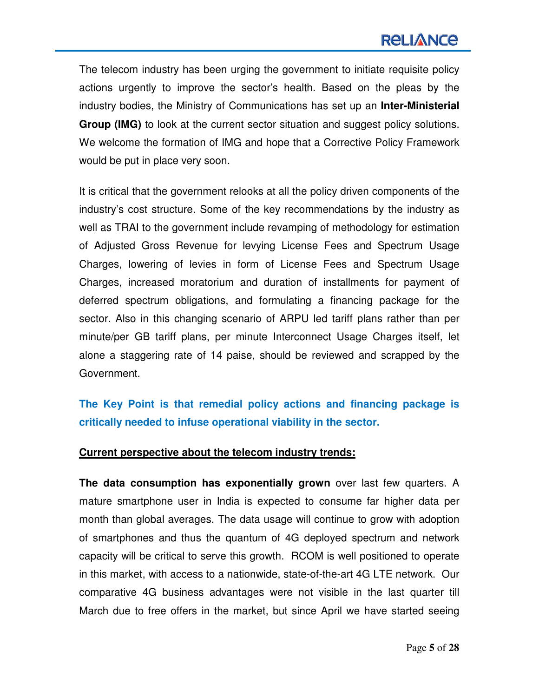The telecom industry has been urging the government to initiate requisite policy actions urgently to improve the sector's health. Based on the pleas by the industry bodies, the Ministry of Communications has set up an **Inter-Ministerial Group (IMG)** to look at the current sector situation and suggest policy solutions. We welcome the formation of IMG and hope that a Corrective Policy Framework would be put in place very soon.

It is critical that the government relooks at all the policy driven components of the industry's cost structure. Some of the key recommendations by the industry as well as TRAI to the government include revamping of methodology for estimation of Adjusted Gross Revenue for levying License Fees and Spectrum Usage Charges, lowering of levies in form of License Fees and Spectrum Usage Charges, increased moratorium and duration of installments for payment of deferred spectrum obligations, and formulating a financing package for the sector. Also in this changing scenario of ARPU led tariff plans rather than per minute/per GB tariff plans, per minute Interconnect Usage Charges itself, let alone a staggering rate of 14 paise, should be reviewed and scrapped by the Government.

**The Key Point is that remedial policy actions and financing package is critically needed to infuse operational viability in the sector.** 

#### **Current perspective about the telecom industry trends:**

**The data consumption has exponentially grown** over last few quarters. A mature smartphone user in India is expected to consume far higher data per month than global averages. The data usage will continue to grow with adoption of smartphones and thus the quantum of 4G deployed spectrum and network capacity will be critical to serve this growth. RCOM is well positioned to operate in this market, with access to a nationwide, state-of-the-art 4G LTE network. Our comparative 4G business advantages were not visible in the last quarter till March due to free offers in the market, but since April we have started seeing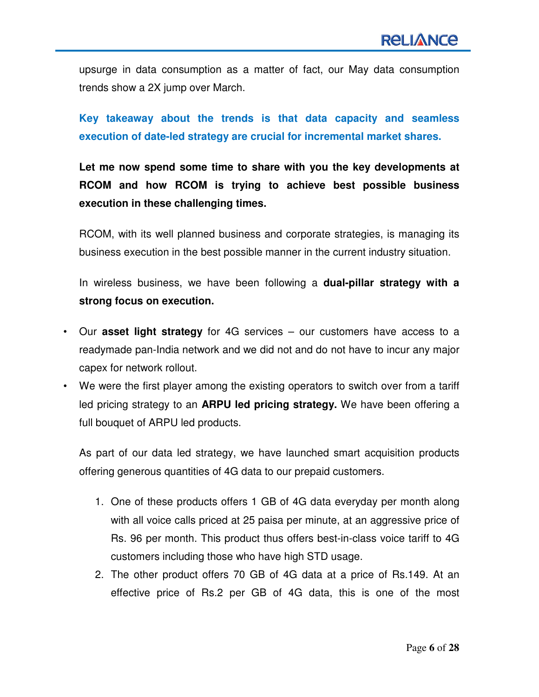upsurge in data consumption as a matter of fact, our May data consumption trends show a 2X jump over March.

**Key takeaway about the trends is that data capacity and seamless execution of date-led strategy are crucial for incremental market shares.** 

**Let me now spend some time to share with you the key developments at RCOM and how RCOM is trying to achieve best possible business execution in these challenging times.** 

RCOM, with its well planned business and corporate strategies, is managing its business execution in the best possible manner in the current industry situation.

In wireless business, we have been following a **dual-pillar strategy with a strong focus on execution.**

- Our **asset light strategy** for 4G services our customers have access to a readymade pan-India network and we did not and do not have to incur any major capex for network rollout.
- We were the first player among the existing operators to switch over from a tariff led pricing strategy to an **ARPU led pricing strategy.** We have been offering a full bouquet of ARPU led products.

As part of our data led strategy, we have launched smart acquisition products offering generous quantities of 4G data to our prepaid customers.

- 1. One of these products offers 1 GB of 4G data everyday per month along with all voice calls priced at 25 paisa per minute, at an aggressive price of Rs. 96 per month. This product thus offers best-in-class voice tariff to 4G customers including those who have high STD usage.
- 2. The other product offers 70 GB of 4G data at a price of Rs.149. At an effective price of Rs.2 per GB of 4G data, this is one of the most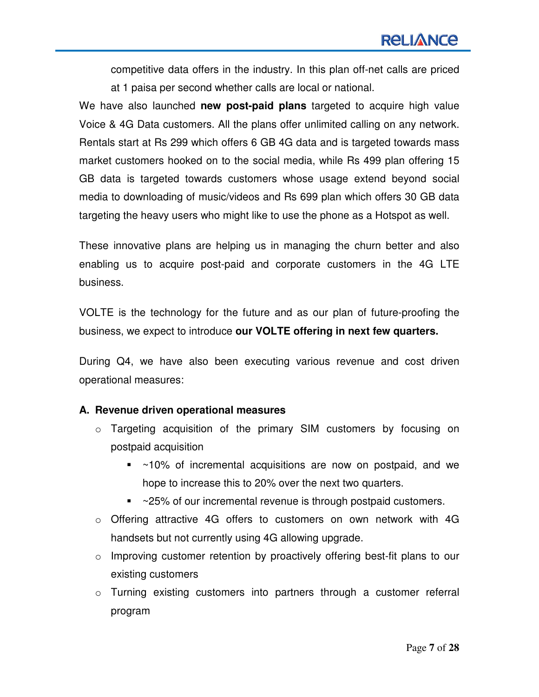competitive data offers in the industry. In this plan off-net calls are priced at 1 paisa per second whether calls are local or national.

We have also launched **new post-paid plans** targeted to acquire high value Voice & 4G Data customers. All the plans offer unlimited calling on any network. Rentals start at Rs 299 which offers 6 GB 4G data and is targeted towards mass market customers hooked on to the social media, while Rs 499 plan offering 15 GB data is targeted towards customers whose usage extend beyond social media to downloading of music/videos and Rs 699 plan which offers 30 GB data targeting the heavy users who might like to use the phone as a Hotspot as well.

These innovative plans are helping us in managing the churn better and also enabling us to acquire post-paid and corporate customers in the 4G LTE business.

VOLTE is the technology for the future and as our plan of future-proofing the business, we expect to introduce **our VOLTE offering in next few quarters.**

During Q4, we have also been executing various revenue and cost driven operational measures:

## **A. Revenue driven operational measures**

- o Targeting acquisition of the primary SIM customers by focusing on postpaid acquisition
	- ~10% of incremental acquisitions are now on postpaid, and we hope to increase this to 20% over the next two quarters.
	- ~25% of our incremental revenue is through postpaid customers.
- $\circ$  Offering attractive 4G offers to customers on own network with 4G handsets but not currently using 4G allowing upgrade.
- o Improving customer retention by proactively offering best-fit plans to our existing customers
- o Turning existing customers into partners through a customer referral program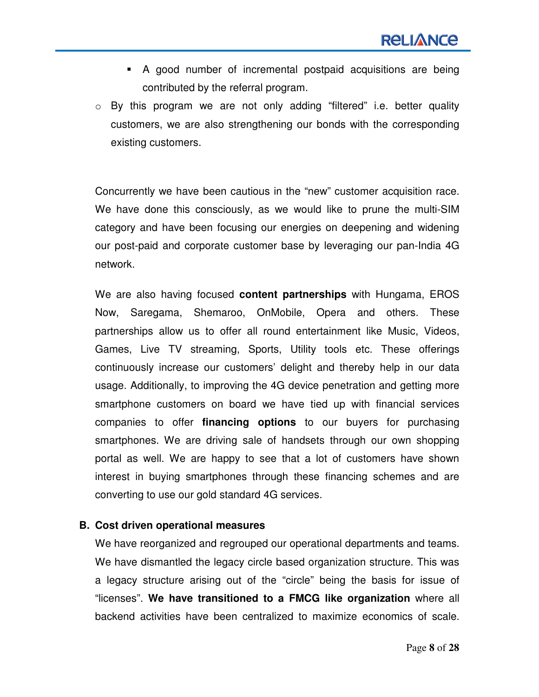- A good number of incremental postpaid acquisitions are being contributed by the referral program.
- o By this program we are not only adding "filtered" i.e. better quality customers, we are also strengthening our bonds with the corresponding existing customers.

Concurrently we have been cautious in the "new" customer acquisition race. We have done this consciously, as we would like to prune the multi-SIM category and have been focusing our energies on deepening and widening our post-paid and corporate customer base by leveraging our pan-India 4G network.

We are also having focused **content partnerships** with Hungama, EROS Now, Saregama, Shemaroo, OnMobile, Opera and others. These partnerships allow us to offer all round entertainment like Music, Videos, Games, Live TV streaming, Sports, Utility tools etc. These offerings continuously increase our customers' delight and thereby help in our data usage. Additionally, to improving the 4G device penetration and getting more smartphone customers on board we have tied up with financial services companies to offer **financing options** to our buyers for purchasing smartphones. We are driving sale of handsets through our own shopping portal as well. We are happy to see that a lot of customers have shown interest in buying smartphones through these financing schemes and are converting to use our gold standard 4G services.

## **B. Cost driven operational measures**

We have reorganized and regrouped our operational departments and teams. We have dismantled the legacy circle based organization structure. This was a legacy structure arising out of the "circle" being the basis for issue of "licenses". **We have transitioned to a FMCG like organization** where all backend activities have been centralized to maximize economics of scale.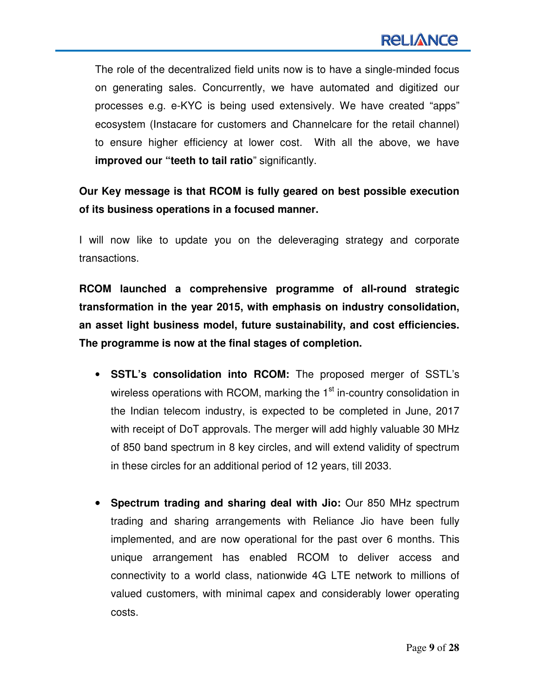The role of the decentralized field units now is to have a single-minded focus on generating sales. Concurrently, we have automated and digitized our processes e.g. e-KYC is being used extensively. We have created "apps" ecosystem (Instacare for customers and Channelcare for the retail channel) to ensure higher efficiency at lower cost. With all the above, we have **improved our "teeth to tail ratio**" significantly.

**Our Key message is that RCOM is fully geared on best possible execution of its business operations in a focused manner.** 

I will now like to update you on the deleveraging strategy and corporate transactions.

**RCOM launched a comprehensive programme of all-round strategic transformation in the year 2015, with emphasis on industry consolidation, an asset light business model, future sustainability, and cost efficiencies. The programme is now at the final stages of completion.** 

- **SSTL's consolidation into RCOM:** The proposed merger of SSTL's wireless operations with RCOM, marking the 1<sup>st</sup> in-country consolidation in the Indian telecom industry, is expected to be completed in June, 2017 with receipt of DoT approvals. The merger will add highly valuable 30 MHz of 850 band spectrum in 8 key circles, and will extend validity of spectrum in these circles for an additional period of 12 years, till 2033.
- • **Spectrum trading and sharing deal with Jio:** Our 850 MHz spectrum trading and sharing arrangements with Reliance Jio have been fully implemented, and are now operational for the past over 6 months. This unique arrangement has enabled RCOM to deliver access and connectivity to a world class, nationwide 4G LTE network to millions of valued customers, with minimal capex and considerably lower operating costs.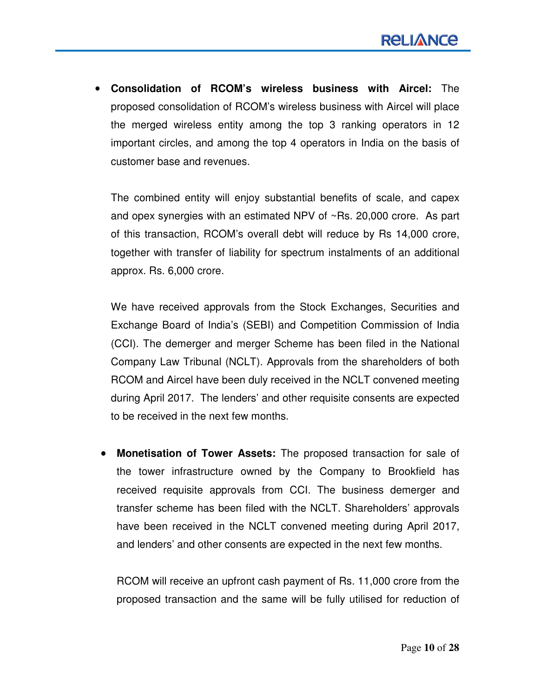• **Consolidation of RCOM's wireless business with Aircel:** The proposed consolidation of RCOM's wireless business with Aircel will place the merged wireless entity among the top 3 ranking operators in 12 important circles, and among the top 4 operators in India on the basis of customer base and revenues.

The combined entity will enjoy substantial benefits of scale, and capex and opex synergies with an estimated NPV of ~Rs. 20,000 crore. As part of this transaction, RCOM's overall debt will reduce by Rs 14,000 crore, together with transfer of liability for spectrum instalments of an additional approx. Rs. 6,000 crore.

We have received approvals from the Stock Exchanges, Securities and Exchange Board of India's (SEBI) and Competition Commission of India (CCI). The demerger and merger Scheme has been filed in the National Company Law Tribunal (NCLT). Approvals from the shareholders of both RCOM and Aircel have been duly received in the NCLT convened meeting during April 2017. The lenders' and other requisite consents are expected to be received in the next few months.

• **Monetisation of Tower Assets:** The proposed transaction for sale of the tower infrastructure owned by the Company to Brookfield has received requisite approvals from CCI. The business demerger and transfer scheme has been filed with the NCLT. Shareholders' approvals have been received in the NCLT convened meeting during April 2017, and lenders' and other consents are expected in the next few months.

RCOM will receive an upfront cash payment of Rs. 11,000 crore from the proposed transaction and the same will be fully utilised for reduction of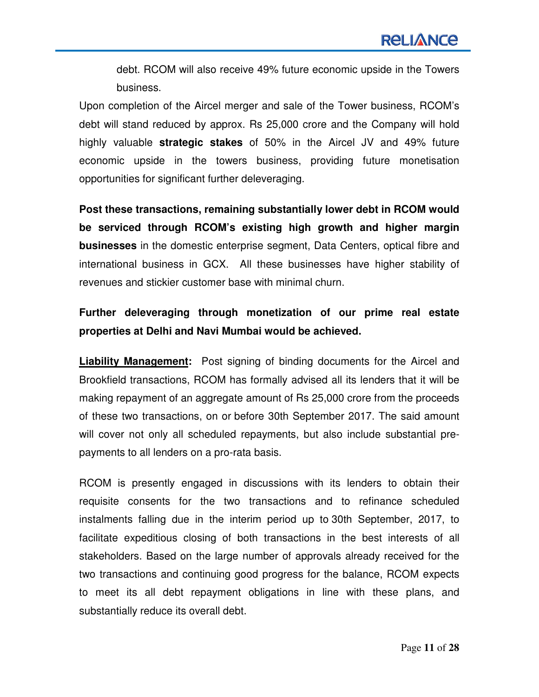debt. RCOM will also receive 49% future economic upside in the Towers business.

Upon completion of the Aircel merger and sale of the Tower business, RCOM's debt will stand reduced by approx. Rs 25,000 crore and the Company will hold highly valuable **strategic stakes** of 50% in the Aircel JV and 49% future economic upside in the towers business, providing future monetisation opportunities for significant further deleveraging.

**Post these transactions, remaining substantially lower debt in RCOM would be serviced through RCOM's existing high growth and higher margin businesses** in the domestic enterprise segment, Data Centers, optical fibre and international business in GCX. All these businesses have higher stability of revenues and stickier customer base with minimal churn.

## **Further deleveraging through monetization of our prime real estate properties at Delhi and Navi Mumbai would be achieved.**

**Liability Management:** Post signing of binding documents for the Aircel and Brookfield transactions, RCOM has formally advised all its lenders that it will be making repayment of an aggregate amount of Rs 25,000 crore from the proceeds of these two transactions, on or before 30th September 2017. The said amount will cover not only all scheduled repayments, but also include substantial prepayments to all lenders on a pro-rata basis.

RCOM is presently engaged in discussions with its lenders to obtain their requisite consents for the two transactions and to refinance scheduled instalments falling due in the interim period up to 30th September, 2017, to facilitate expeditious closing of both transactions in the best interests of all stakeholders. Based on the large number of approvals already received for the two transactions and continuing good progress for the balance, RCOM expects to meet its all debt repayment obligations in line with these plans, and substantially reduce its overall debt.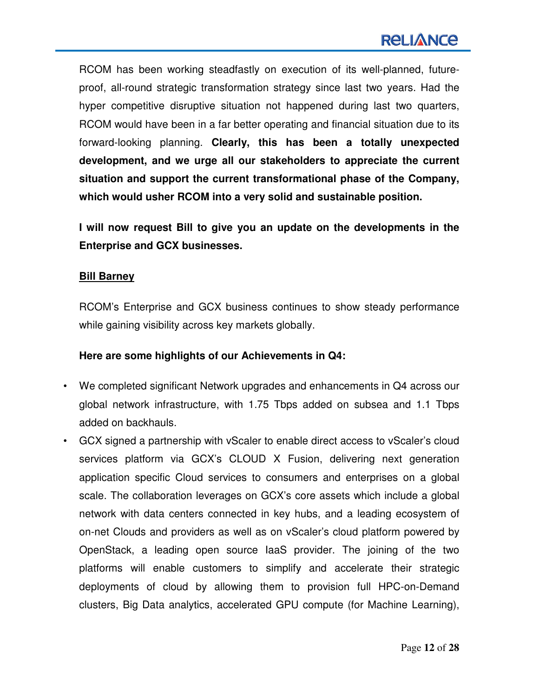RCOM has been working steadfastly on execution of its well-planned, futureproof, all-round strategic transformation strategy since last two years. Had the hyper competitive disruptive situation not happened during last two quarters, RCOM would have been in a far better operating and financial situation due to its forward-looking planning. **Clearly, this has been a totally unexpected development, and we urge all our stakeholders to appreciate the current situation and support the current transformational phase of the Company, which would usher RCOM into a very solid and sustainable position.** 

**I will now request Bill to give you an update on the developments in the Enterprise and GCX businesses.** 

#### **Bill Barney**

RCOM's Enterprise and GCX business continues to show steady performance while gaining visibility across key markets globally.

## **Here are some highlights of our Achievements in Q4:**

- We completed significant Network upgrades and enhancements in Q4 across our global network infrastructure, with 1.75 Tbps added on subsea and 1.1 Tbps added on backhauls.
- GCX signed a partnership with vScaler to enable direct access to vScaler's cloud services platform via GCX's CLOUD X Fusion, delivering next generation application specific Cloud services to consumers and enterprises on a global scale. The collaboration leverages on GCX's core assets which include a global network with data centers connected in key hubs, and a leading ecosystem of on-net Clouds and providers as well as on vScaler's cloud platform powered by OpenStack, a leading open source IaaS provider. The joining of the two platforms will enable customers to simplify and accelerate their strategic deployments of cloud by allowing them to provision full HPC-on-Demand clusters, Big Data analytics, accelerated GPU compute (for Machine Learning),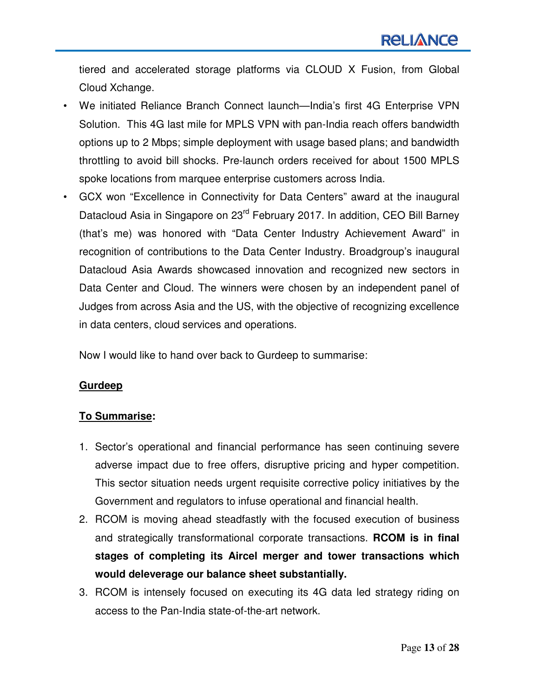tiered and accelerated storage platforms via CLOUD X Fusion, from Global Cloud Xchange.

- We initiated Reliance Branch Connect launch—India's first 4G Enterprise VPN Solution. This 4G last mile for MPLS VPN with pan-India reach offers bandwidth options up to 2 Mbps; simple deployment with usage based plans; and bandwidth throttling to avoid bill shocks. Pre-launch orders received for about 1500 MPLS spoke locations from marquee enterprise customers across India.
- GCX won "Excellence in Connectivity for Data Centers" award at the inaugural Datacloud Asia in Singapore on 23<sup>rd</sup> February 2017. In addition, CEO Bill Barney (that's me) was honored with "Data Center Industry Achievement Award" in recognition of contributions to the Data Center Industry. Broadgroup's inaugural Datacloud Asia Awards showcased innovation and recognized new sectors in Data Center and Cloud. The winners were chosen by an independent panel of Judges from across Asia and the US, with the objective of recognizing excellence in data centers, cloud services and operations.

Now I would like to hand over back to Gurdeep to summarise:

## **Gurdeep**

## **To Summarise:**

- 1. Sector's operational and financial performance has seen continuing severe adverse impact due to free offers, disruptive pricing and hyper competition. This sector situation needs urgent requisite corrective policy initiatives by the Government and regulators to infuse operational and financial health.
- 2. RCOM is moving ahead steadfastly with the focused execution of business and strategically transformational corporate transactions. **RCOM is in final stages of completing its Aircel merger and tower transactions which would deleverage our balance sheet substantially.**
- 3. RCOM is intensely focused on executing its 4G data led strategy riding on access to the Pan-India state-of-the-art network.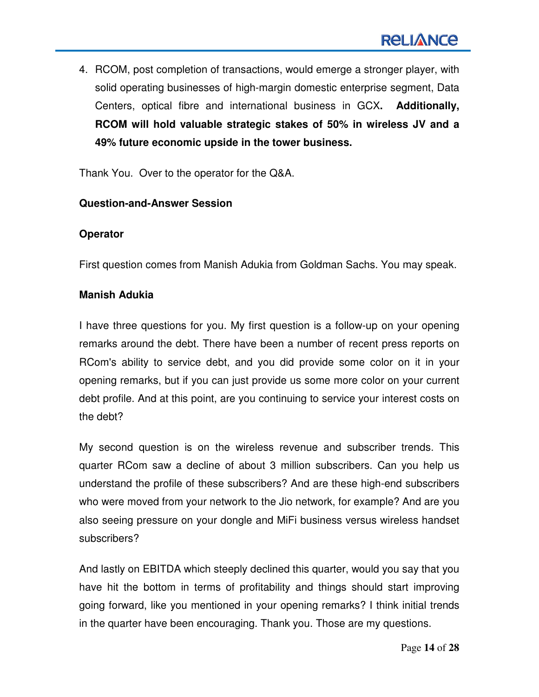4. RCOM, post completion of transactions, would emerge a stronger player, with solid operating businesses of high-margin domestic enterprise segment, Data Centers, optical fibre and international business in GCX**. Additionally, RCOM will hold valuable strategic stakes of 50% in wireless JV and a 49% future economic upside in the tower business.**

Thank You. Over to the operator for the Q&A.

#### **Question-and-Answer Session**

#### **Operator**

First question comes from Manish Adukia from Goldman Sachs. You may speak.

#### **Manish Adukia**

I have three questions for you. My first question is a follow-up on your opening remarks around the debt. There have been a number of recent press reports on RCom's ability to service debt, and you did provide some color on it in your opening remarks, but if you can just provide us some more color on your current debt profile. And at this point, are you continuing to service your interest costs on the debt?

My second question is on the wireless revenue and subscriber trends. This quarter RCom saw a decline of about 3 million subscribers. Can you help us understand the profile of these subscribers? And are these high-end subscribers who were moved from your network to the Jio network, for example? And are you also seeing pressure on your dongle and MiFi business versus wireless handset subscribers?

And lastly on EBITDA which steeply declined this quarter, would you say that you have hit the bottom in terms of profitability and things should start improving going forward, like you mentioned in your opening remarks? I think initial trends in the quarter have been encouraging. Thank you. Those are my questions.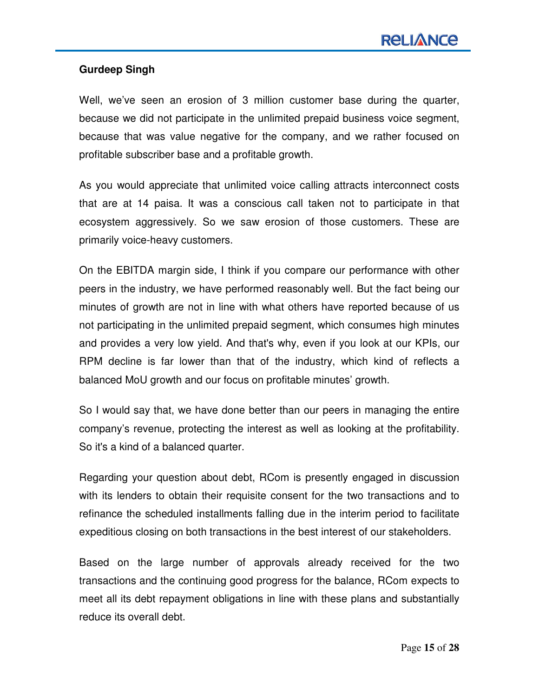## **Gurdeep Singh**

Well, we've seen an erosion of 3 million customer base during the quarter, because we did not participate in the unlimited prepaid business voice segment, because that was value negative for the company, and we rather focused on profitable subscriber base and a profitable growth.

As you would appreciate that unlimited voice calling attracts interconnect costs that are at 14 paisa. It was a conscious call taken not to participate in that ecosystem aggressively. So we saw erosion of those customers. These are primarily voice-heavy customers.

On the EBITDA margin side, I think if you compare our performance with other peers in the industry, we have performed reasonably well. But the fact being our minutes of growth are not in line with what others have reported because of us not participating in the unlimited prepaid segment, which consumes high minutes and provides a very low yield. And that's why, even if you look at our KPIs, our RPM decline is far lower than that of the industry, which kind of reflects a balanced MoU growth and our focus on profitable minutes' growth.

So I would say that, we have done better than our peers in managing the entire company's revenue, protecting the interest as well as looking at the profitability. So it's a kind of a balanced quarter.

Regarding your question about debt, RCom is presently engaged in discussion with its lenders to obtain their requisite consent for the two transactions and to refinance the scheduled installments falling due in the interim period to facilitate expeditious closing on both transactions in the best interest of our stakeholders.

Based on the large number of approvals already received for the two transactions and the continuing good progress for the balance, RCom expects to meet all its debt repayment obligations in line with these plans and substantially reduce its overall debt.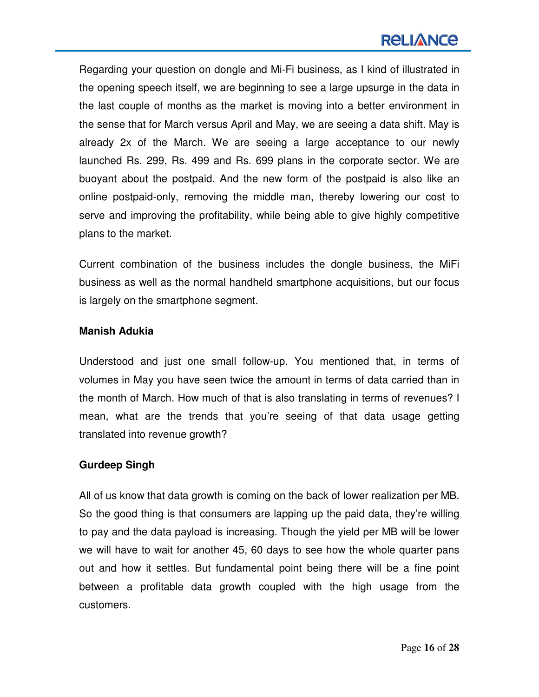## **RELIANCE**

Regarding your question on dongle and Mi-Fi business, as I kind of illustrated in the opening speech itself, we are beginning to see a large upsurge in the data in the last couple of months as the market is moving into a better environment in the sense that for March versus April and May, we are seeing a data shift. May is already 2x of the March. We are seeing a large acceptance to our newly launched Rs. 299, Rs. 499 and Rs. 699 plans in the corporate sector. We are buoyant about the postpaid. And the new form of the postpaid is also like an online postpaid-only, removing the middle man, thereby lowering our cost to serve and improving the profitability, while being able to give highly competitive plans to the market.

Current combination of the business includes the dongle business, the MiFi business as well as the normal handheld smartphone acquisitions, but our focus is largely on the smartphone segment.

#### **Manish Adukia**

Understood and just one small follow-up. You mentioned that, in terms of volumes in May you have seen twice the amount in terms of data carried than in the month of March. How much of that is also translating in terms of revenues? I mean, what are the trends that you're seeing of that data usage getting translated into revenue growth?

## **Gurdeep Singh**

All of us know that data growth is coming on the back of lower realization per MB. So the good thing is that consumers are lapping up the paid data, they're willing to pay and the data payload is increasing. Though the yield per MB will be lower we will have to wait for another 45, 60 days to see how the whole quarter pans out and how it settles. But fundamental point being there will be a fine point between a profitable data growth coupled with the high usage from the customers.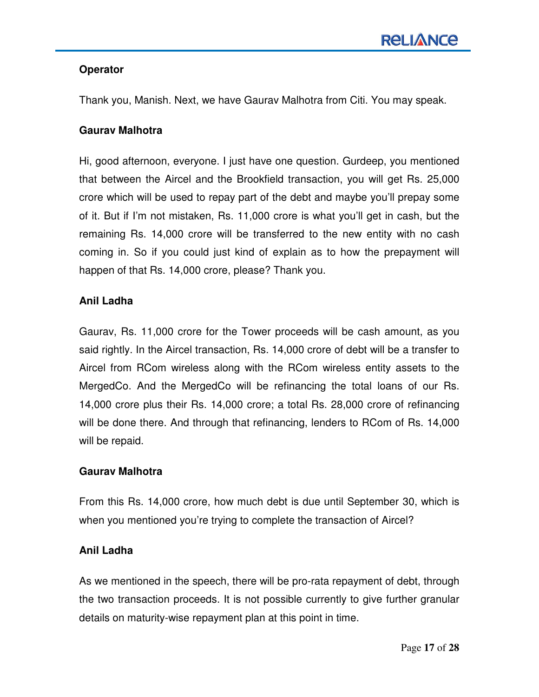## **Operator**

Thank you, Manish. Next, we have Gaurav Malhotra from Citi. You may speak.

## **Gaurav Malhotra**

Hi, good afternoon, everyone. I just have one question. Gurdeep, you mentioned that between the Aircel and the Brookfield transaction, you will get Rs. 25,000 crore which will be used to repay part of the debt and maybe you'll prepay some of it. But if I'm not mistaken, Rs. 11,000 crore is what you'll get in cash, but the remaining Rs. 14,000 crore will be transferred to the new entity with no cash coming in. So if you could just kind of explain as to how the prepayment will happen of that Rs. 14,000 crore, please? Thank you.

## **Anil Ladha**

Gaurav, Rs. 11,000 crore for the Tower proceeds will be cash amount, as you said rightly. In the Aircel transaction, Rs. 14,000 crore of debt will be a transfer to Aircel from RCom wireless along with the RCom wireless entity assets to the MergedCo. And the MergedCo will be refinancing the total loans of our Rs. 14,000 crore plus their Rs. 14,000 crore; a total Rs. 28,000 crore of refinancing will be done there. And through that refinancing, lenders to RCom of Rs. 14,000 will be repaid.

## **Gaurav Malhotra**

From this Rs. 14,000 crore, how much debt is due until September 30, which is when you mentioned you're trying to complete the transaction of Aircel?

## **Anil Ladha**

As we mentioned in the speech, there will be pro-rata repayment of debt, through the two transaction proceeds. It is not possible currently to give further granular details on maturity-wise repayment plan at this point in time.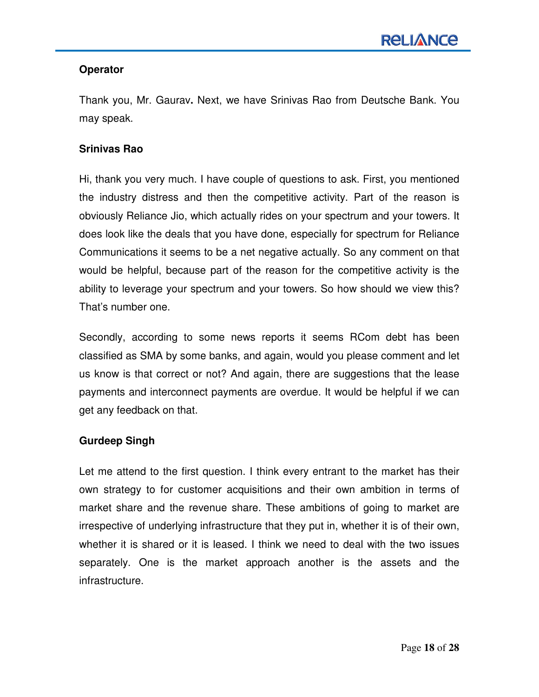## **Operator**

Thank you, Mr. Gaurav**.** Next, we have Srinivas Rao from Deutsche Bank. You may speak.

## **Srinivas Rao**

Hi, thank you very much. I have couple of questions to ask. First, you mentioned the industry distress and then the competitive activity. Part of the reason is obviously Reliance Jio, which actually rides on your spectrum and your towers. It does look like the deals that you have done, especially for spectrum for Reliance Communications it seems to be a net negative actually. So any comment on that would be helpful, because part of the reason for the competitive activity is the ability to leverage your spectrum and your towers. So how should we view this? That's number one.

Secondly, according to some news reports it seems RCom debt has been classified as SMA by some banks, and again, would you please comment and let us know is that correct or not? And again, there are suggestions that the lease payments and interconnect payments are overdue. It would be helpful if we can get any feedback on that.

## **Gurdeep Singh**

Let me attend to the first question. I think every entrant to the market has their own strategy to for customer acquisitions and their own ambition in terms of market share and the revenue share. These ambitions of going to market are irrespective of underlying infrastructure that they put in, whether it is of their own, whether it is shared or it is leased. I think we need to deal with the two issues separately. One is the market approach another is the assets and the infrastructure.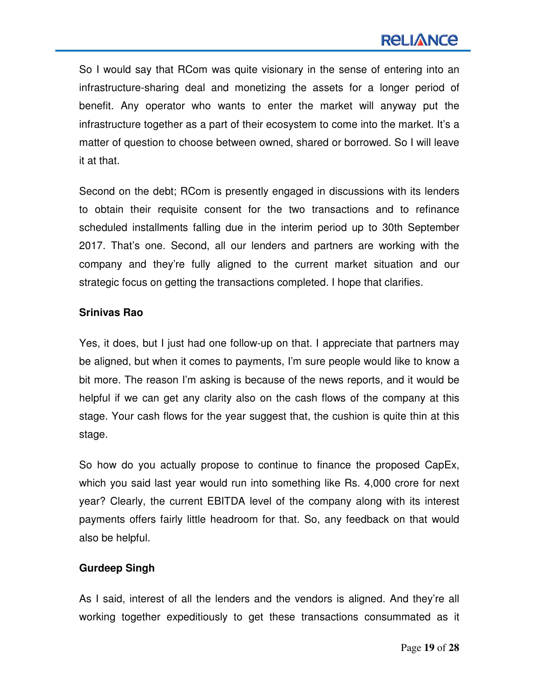# **RELIANCE**

So I would say that RCom was quite visionary in the sense of entering into an infrastructure-sharing deal and monetizing the assets for a longer period of benefit. Any operator who wants to enter the market will anyway put the infrastructure together as a part of their ecosystem to come into the market. It's a matter of question to choose between owned, shared or borrowed. So I will leave it at that.

Second on the debt; RCom is presently engaged in discussions with its lenders to obtain their requisite consent for the two transactions and to refinance scheduled installments falling due in the interim period up to 30th September 2017. That's one. Second, all our lenders and partners are working with the company and they're fully aligned to the current market situation and our strategic focus on getting the transactions completed. I hope that clarifies.

#### **Srinivas Rao**

Yes, it does, but I just had one follow-up on that. I appreciate that partners may be aligned, but when it comes to payments, I'm sure people would like to know a bit more. The reason I'm asking is because of the news reports, and it would be helpful if we can get any clarity also on the cash flows of the company at this stage. Your cash flows for the year suggest that, the cushion is quite thin at this stage.

So how do you actually propose to continue to finance the proposed CapEx, which you said last year would run into something like Rs. 4,000 crore for next year? Clearly, the current EBITDA level of the company along with its interest payments offers fairly little headroom for that. So, any feedback on that would also be helpful.

#### **Gurdeep Singh**

As I said, interest of all the lenders and the vendors is aligned. And they're all working together expeditiously to get these transactions consummated as it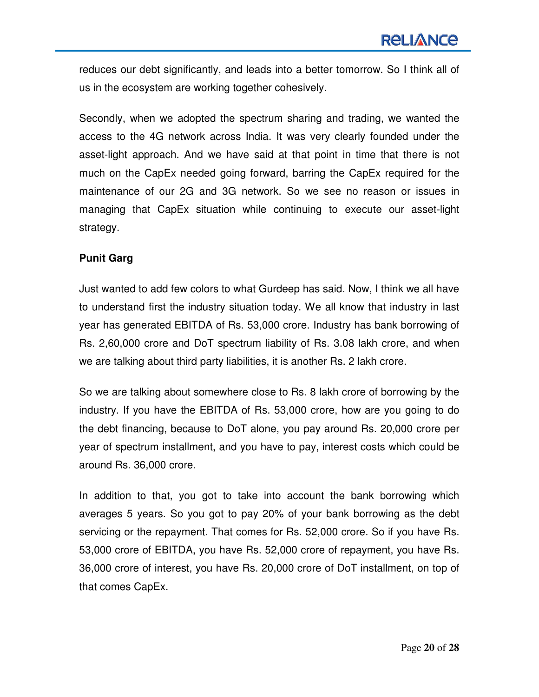reduces our debt significantly, and leads into a better tomorrow. So I think all of us in the ecosystem are working together cohesively.

Secondly, when we adopted the spectrum sharing and trading, we wanted the access to the 4G network across India. It was very clearly founded under the asset-light approach. And we have said at that point in time that there is not much on the CapEx needed going forward, barring the CapEx required for the maintenance of our 2G and 3G network. So we see no reason or issues in managing that CapEx situation while continuing to execute our asset-light strategy.

## **Punit Garg**

Just wanted to add few colors to what Gurdeep has said. Now, I think we all have to understand first the industry situation today. We all know that industry in last year has generated EBITDA of Rs. 53,000 crore. Industry has bank borrowing of Rs. 2,60,000 crore and DoT spectrum liability of Rs. 3.08 lakh crore, and when we are talking about third party liabilities, it is another Rs. 2 lakh crore.

So we are talking about somewhere close to Rs. 8 lakh crore of borrowing by the industry. If you have the EBITDA of Rs. 53,000 crore, how are you going to do the debt financing, because to DoT alone, you pay around Rs. 20,000 crore per year of spectrum installment, and you have to pay, interest costs which could be around Rs. 36,000 crore.

In addition to that, you got to take into account the bank borrowing which averages 5 years. So you got to pay 20% of your bank borrowing as the debt servicing or the repayment. That comes for Rs. 52,000 crore. So if you have Rs. 53,000 crore of EBITDA, you have Rs. 52,000 crore of repayment, you have Rs. 36,000 crore of interest, you have Rs. 20,000 crore of DoT installment, on top of that comes CapEx.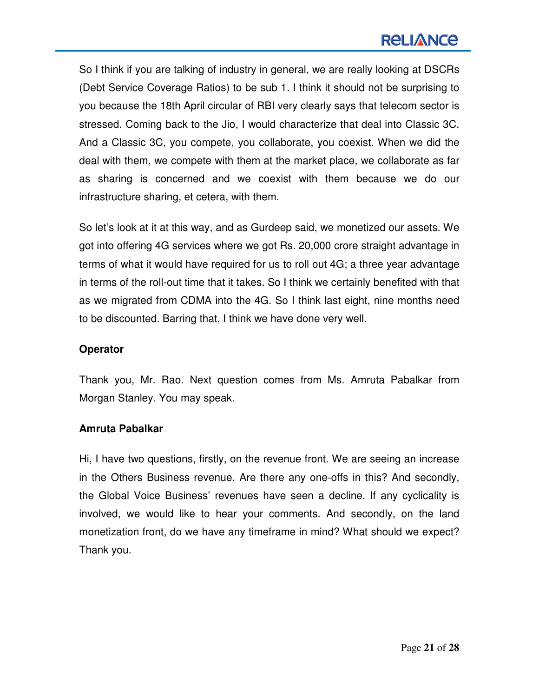# **RELIANCE**

So I think if you are talking of industry in general, we are really looking at DSCRs (Debt Service Coverage Ratios) to be sub 1. I think it should not be surprising to you because the 18th April circular of RBI very clearly says that telecom sector is stressed. Coming back to the Jio, I would characterize that deal into Classic 3C. And a Classic 3C, you compete, you collaborate, you coexist. When we did the deal with them, we compete with them at the market place, we collaborate as far as sharing is concerned and we coexist with them because we do our infrastructure sharing, et cetera, with them.

So let's look at it at this way, and as Gurdeep said, we monetized our assets. We got into offering 4G services where we got Rs. 20,000 crore straight advantage in terms of what it would have required for us to roll out 4G; a three year advantage in terms of the roll-out time that it takes. So I think we certainly benefited with that as we migrated from CDMA into the 4G. So I think last eight, nine months need to be discounted. Barring that, I think we have done very well.

#### **Operator**

Thank you, Mr. Rao. Next question comes from Ms. Amruta Pabalkar from Morgan Stanley. You may speak.

#### **Amruta Pabalkar**

Hi, I have two questions, firstly, on the revenue front. We are seeing an increase in the Others Business revenue. Are there any one-offs in this? And secondly, the Global Voice Business' revenues have seen a decline. If any cyclicality is involved, we would like to hear your comments. And secondly, on the land monetization front, do we have any timeframe in mind? What should we expect? Thank you.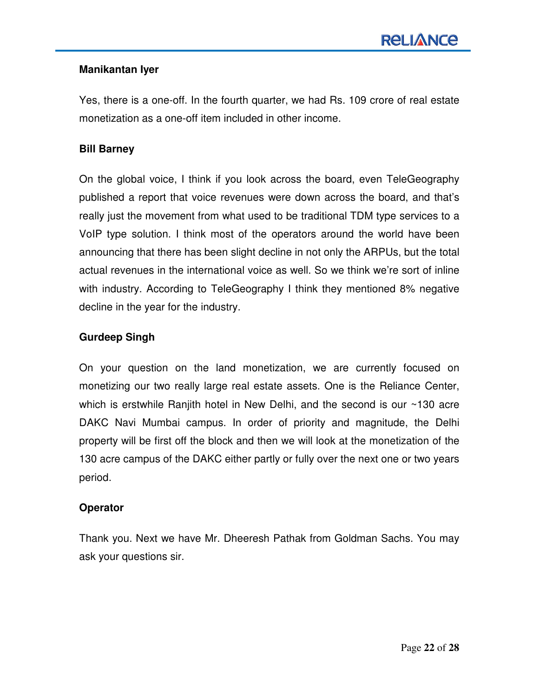## **Manikantan Iyer**

Yes, there is a one-off. In the fourth quarter, we had Rs. 109 crore of real estate monetization as a one-off item included in other income.

## **Bill Barney**

On the global voice, I think if you look across the board, even TeleGeography published a report that voice revenues were down across the board, and that's really just the movement from what used to be traditional TDM type services to a VoIP type solution. I think most of the operators around the world have been announcing that there has been slight decline in not only the ARPUs, but the total actual revenues in the international voice as well. So we think we're sort of inline with industry. According to TeleGeography I think they mentioned 8% negative decline in the year for the industry.

#### **Gurdeep Singh**

On your question on the land monetization, we are currently focused on monetizing our two really large real estate assets. One is the Reliance Center, which is erstwhile Ranjith hotel in New Delhi, and the second is our ~130 acre DAKC Navi Mumbai campus. In order of priority and magnitude, the Delhi property will be first off the block and then we will look at the monetization of the 130 acre campus of the DAKC either partly or fully over the next one or two years period.

#### **Operator**

Thank you. Next we have Mr. Dheeresh Pathak from Goldman Sachs. You may ask your questions sir.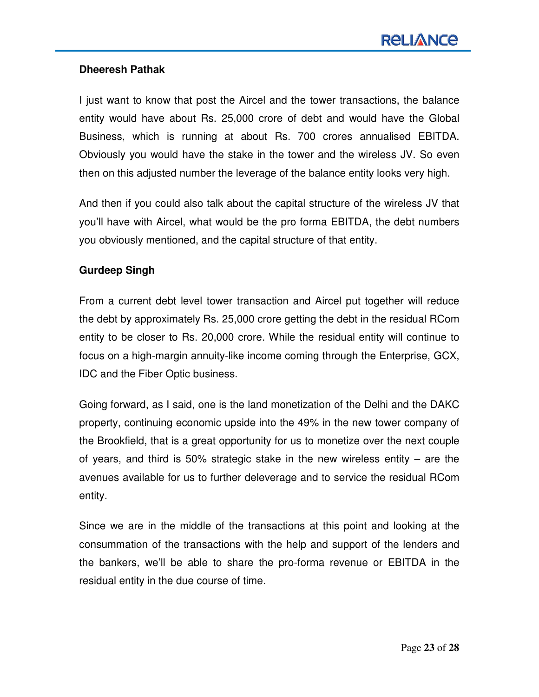## **Dheeresh Pathak**

I just want to know that post the Aircel and the tower transactions, the balance entity would have about Rs. 25,000 crore of debt and would have the Global Business, which is running at about Rs. 700 crores annualised EBITDA. Obviously you would have the stake in the tower and the wireless JV. So even then on this adjusted number the leverage of the balance entity looks very high.

And then if you could also talk about the capital structure of the wireless JV that you'll have with Aircel, what would be the pro forma EBITDA, the debt numbers you obviously mentioned, and the capital structure of that entity.

## **Gurdeep Singh**

From a current debt level tower transaction and Aircel put together will reduce the debt by approximately Rs. 25,000 crore getting the debt in the residual RCom entity to be closer to Rs. 20,000 crore. While the residual entity will continue to focus on a high-margin annuity-like income coming through the Enterprise, GCX, IDC and the Fiber Optic business.

Going forward, as I said, one is the land monetization of the Delhi and the DAKC property, continuing economic upside into the 49% in the new tower company of the Brookfield, that is a great opportunity for us to monetize over the next couple of years, and third is 50% strategic stake in the new wireless entity – are the avenues available for us to further deleverage and to service the residual RCom entity.

Since we are in the middle of the transactions at this point and looking at the consummation of the transactions with the help and support of the lenders and the bankers, we'll be able to share the pro-forma revenue or EBITDA in the residual entity in the due course of time.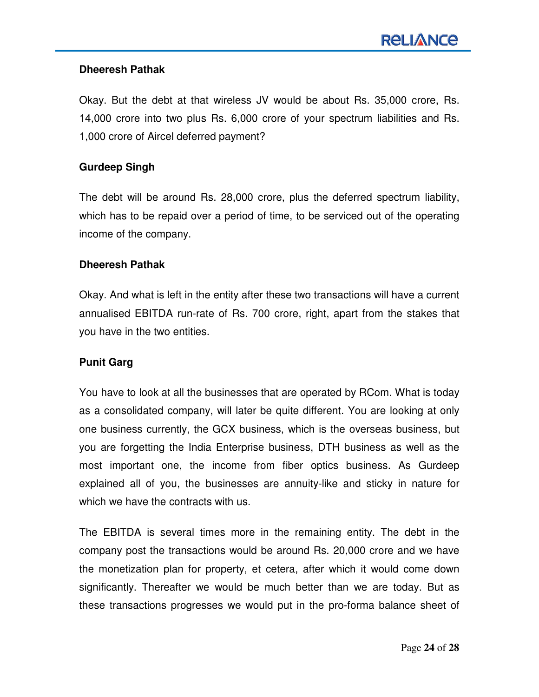## **Dheeresh Pathak**

Okay. But the debt at that wireless JV would be about Rs. 35,000 crore, Rs. 14,000 crore into two plus Rs. 6,000 crore of your spectrum liabilities and Rs. 1,000 crore of Aircel deferred payment?

### **Gurdeep Singh**

The debt will be around Rs. 28,000 crore, plus the deferred spectrum liability, which has to be repaid over a period of time, to be serviced out of the operating income of the company.

#### **Dheeresh Pathak**

Okay. And what is left in the entity after these two transactions will have a current annualised EBITDA run-rate of Rs. 700 crore, right, apart from the stakes that you have in the two entities.

#### **Punit Garg**

You have to look at all the businesses that are operated by RCom. What is today as a consolidated company, will later be quite different. You are looking at only one business currently, the GCX business, which is the overseas business, but you are forgetting the India Enterprise business, DTH business as well as the most important one, the income from fiber optics business. As Gurdeep explained all of you, the businesses are annuity-like and sticky in nature for which we have the contracts with us.

The EBITDA is several times more in the remaining entity. The debt in the company post the transactions would be around Rs. 20,000 crore and we have the monetization plan for property, et cetera, after which it would come down significantly. Thereafter we would be much better than we are today. But as these transactions progresses we would put in the pro-forma balance sheet of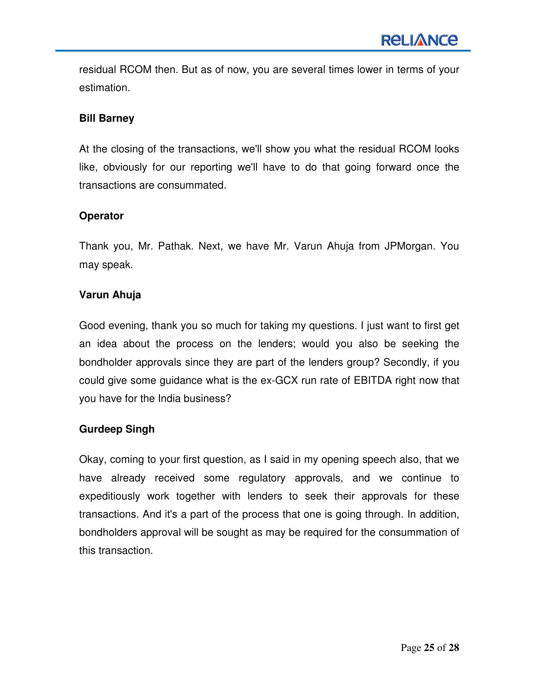residual RCOM then. But as of now, you are several times lower in terms of your estimation.

## **Bill Barney**

At the closing of the transactions, we'll show you what the residual RCOM looks like, obviously for our reporting we'll have to do that going forward once the transactions are consummated.

## **Operator**

Thank you, Mr. Pathak. Next, we have Mr. Varun Ahuja from JPMorgan. You may speak.

## **Varun Ahuja**

Good evening, thank you so much for taking my questions. I just want to first get an idea about the process on the lenders; would you also be seeking the bondholder approvals since they are part of the lenders group? Secondly, if you could give some guidance what is the ex-GCX run rate of EBITDA right now that you have for the India business?

## **Gurdeep Singh**

Okay, coming to your first question, as I said in my opening speech also, that we have already received some regulatory approvals, and we continue to expeditiously work together with lenders to seek their approvals for these transactions. And it's a part of the process that one is going through. In addition, bondholders approval will be sought as may be required for the consummation of this transaction.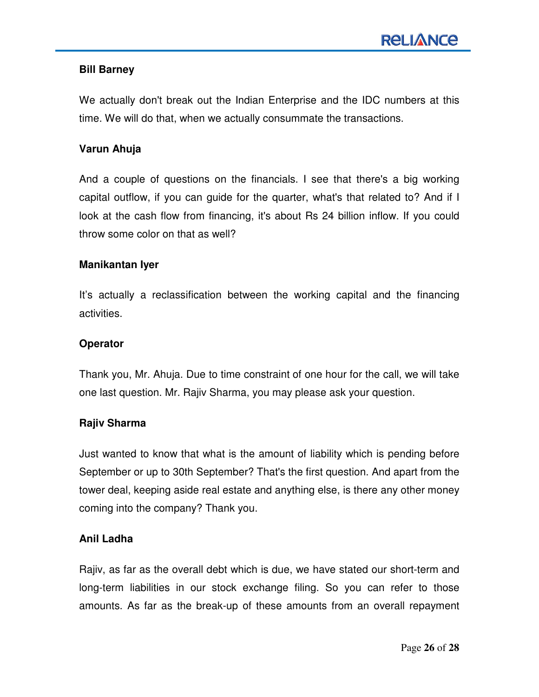### **Bill Barney**

We actually don't break out the Indian Enterprise and the IDC numbers at this time. We will do that, when we actually consummate the transactions.

#### **Varun Ahuja**

And a couple of questions on the financials. I see that there's a big working capital outflow, if you can guide for the quarter, what's that related to? And if I look at the cash flow from financing, it's about Rs 24 billion inflow. If you could throw some color on that as well?

#### **Manikantan Iyer**

It's actually a reclassification between the working capital and the financing activities.

#### **Operator**

Thank you, Mr. Ahuja. Due to time constraint of one hour for the call, we will take one last question. Mr. Rajiv Sharma, you may please ask your question.

## **Rajiv Sharma**

Just wanted to know that what is the amount of liability which is pending before September or up to 30th September? That's the first question. And apart from the tower deal, keeping aside real estate and anything else, is there any other money coming into the company? Thank you.

#### **Anil Ladha**

Rajiv, as far as the overall debt which is due, we have stated our short-term and long-term liabilities in our stock exchange filing. So you can refer to those amounts. As far as the break-up of these amounts from an overall repayment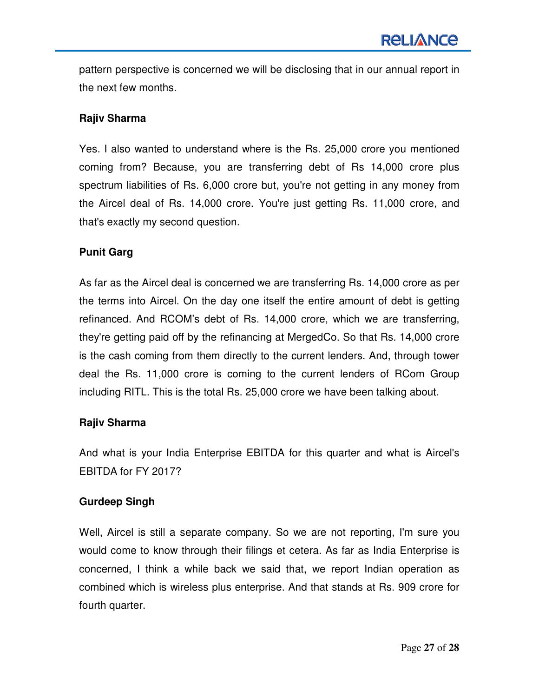pattern perspective is concerned we will be disclosing that in our annual report in the next few months.

## **Rajiv Sharma**

Yes. I also wanted to understand where is the Rs. 25,000 crore you mentioned coming from? Because, you are transferring debt of Rs 14,000 crore plus spectrum liabilities of Rs. 6,000 crore but, you're not getting in any money from the Aircel deal of Rs. 14,000 crore. You're just getting Rs. 11,000 crore, and that's exactly my second question.

## **Punit Garg**

As far as the Aircel deal is concerned we are transferring Rs. 14,000 crore as per the terms into Aircel. On the day one itself the entire amount of debt is getting refinanced. And RCOM's debt of Rs. 14,000 crore, which we are transferring, they're getting paid off by the refinancing at MergedCo. So that Rs. 14,000 crore is the cash coming from them directly to the current lenders. And, through tower deal the Rs. 11,000 crore is coming to the current lenders of RCom Group including RITL. This is the total Rs. 25,000 crore we have been talking about.

## **Rajiv Sharma**

And what is your India Enterprise EBITDA for this quarter and what is Aircel's EBITDA for FY 2017?

## **Gurdeep Singh**

Well, Aircel is still a separate company. So we are not reporting, I'm sure you would come to know through their filings et cetera. As far as India Enterprise is concerned, I think a while back we said that, we report Indian operation as combined which is wireless plus enterprise. And that stands at Rs. 909 crore for fourth quarter.